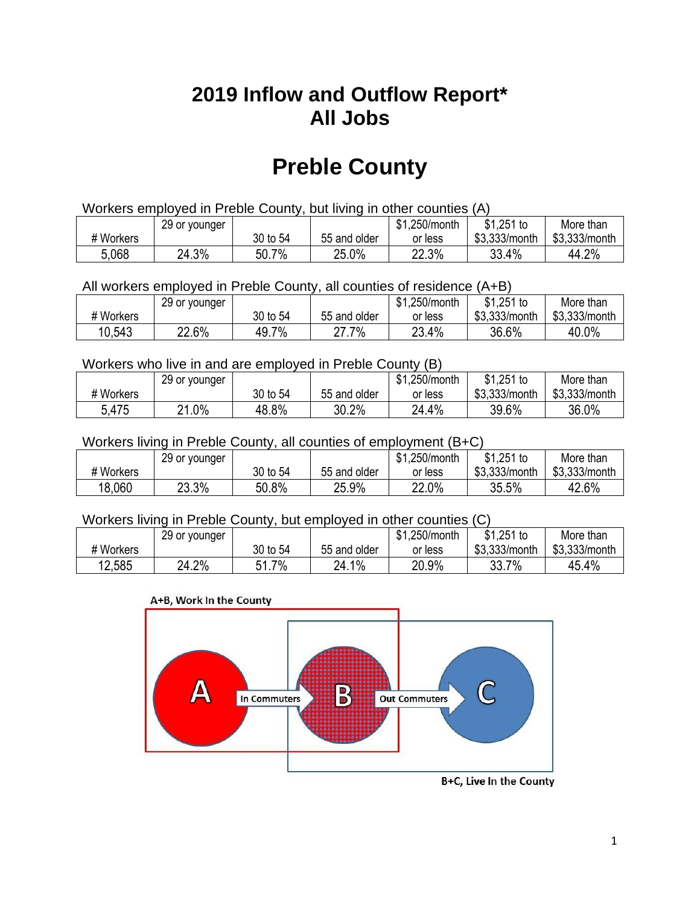## **2019 Inflow and Outflow Report\* All Jobs**

# **Preble County**

| Workers employed in Preble County, but living in other counties (A) |                                                            |          |              |         |               |               |  |  |  |
|---------------------------------------------------------------------|------------------------------------------------------------|----------|--------------|---------|---------------|---------------|--|--|--|
|                                                                     | $$1,251$ to<br>\$1.250/month<br>More than<br>29 or younger |          |              |         |               |               |  |  |  |
| # Workers                                                           |                                                            | 30 to 54 | 55 and older | or less | \$3.333/month | \$3,333/month |  |  |  |
| 5,068                                                               | 24.3%                                                      | 50.7%    | 25.0%        | 22.3%   | 33.4%         | 44.2%         |  |  |  |

All workers employed in Preble County, all counties of residence (A+B)

|           | 29 or younger |          |              | \$1,250/month | \$1,251 to    | More than     |
|-----------|---------------|----------|--------------|---------------|---------------|---------------|
| # Workers |               | 30 to 54 | 55 and older | or less       | \$3,333/month | \$3,333/month |
| 10,543    | 22.6%         | 49.7%    | 27.7%        | 23.4%         | 36.6%         | 40.0%         |

#### Workers who live in and are employed in Preble County (B)

|           | 29 or younger        |          |              | \$1,250/month | $$1,251$ to   | More than     |
|-----------|----------------------|----------|--------------|---------------|---------------|---------------|
| # Workers |                      | 30 to 54 | 55 and older | or less       | \$3,333/month | \$3,333/month |
| 5,475     | $.0\%$<br>$^{\circ}$ | 48.8%    | 30.2%        | 24.4%         | 39.6%         | 36.0%         |

#### Workers living in Preble County, all counties of employment (B+C)

|           | 29 or younger |          |              | \$1,250/month | \$1,251 to    | More than     |
|-----------|---------------|----------|--------------|---------------|---------------|---------------|
| # Workers |               | 30 to 54 | 55 and older | or less       | \$3,333/month | \$3,333/month |
| 18,060    | 23.3%         | 50.8%    | 25.9%        | 22.0%         | 35.5%         | 42.6%         |

#### Workers living in Preble County, but employed in other counties (C)

|           | 29 or younger |                 |              | \$1,250/month | $$1,251$ to   | More than     |
|-----------|---------------|-----------------|--------------|---------------|---------------|---------------|
| # Workers |               | 30 to 54        | 55 and older | or less       | \$3,333/month | \$3,333/month |
| 12,585    | 24.2%         | 7%<br>C 4.<br>. | 24.1%        | 20.9%         | 33.7%         | 45.4%         |

#### A+B, Work In the County



B+C, Live In the County